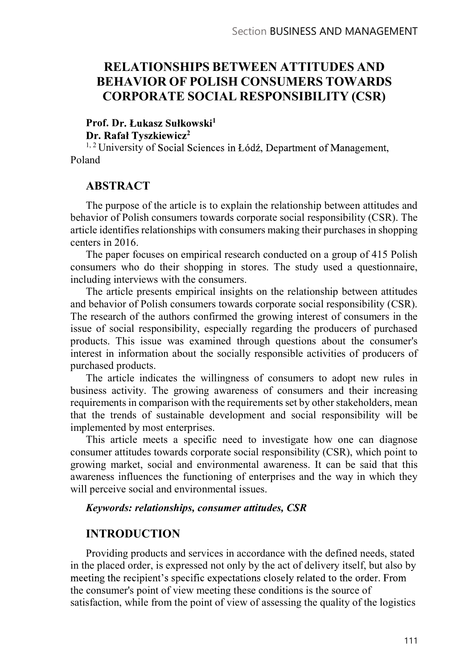# RELATIONSHIPS BETWEEN ATTITUDES AND BEHAVIOR OF POLISH CONSUMERS TOWARDS CORPORATE SOCIAL RESPONSIBILITY (CSR)

Prof. Dr. Łukasz Sułkowski<sup>1</sup>

2 a set of  $\overline{z}$  and  $\overline{z}$  and  $\overline{z}$  and  $\overline{z}$  and  $\overline{z}$  and  $\overline{z}$  and  $\overline{z}$  and  $\overline{z}$  and  $\overline{z}$  and  $\overline{z}$  and  $\overline{z}$  and  $\overline{z}$  and  $\overline{z}$  and  $\overline{z}$  and  $\overline{z}$  and  $\overline{z}$  and  $\over$ 

<sup>1, 2</sup> University of Social Sciences in Łódź, Department of Management, Poland

#### ABSTRACT

The purpose of the article is to explain the relationship between attitudes and behavior of Polish consumers towards corporate social responsibility (CSR). The article identifies relationships with consumers making their purchases in shopping centers in 2016.

The paper focuses on empirical research conducted on a group of 415 Polish consumers who do their shopping in stores. The study used a questionnaire, including interviews with the consumers.

The article presents empirical insights on the relationship between attitudes and behavior of Polish consumers towards corporate social responsibility (CSR). The research of the authors confirmed the growing interest of consumers in the issue of social responsibility, especially regarding the producers of purchased products. This issue was examined through questions about the consumer's interest in information about the socially responsible activities of producers of purchased products.

The article indicates the willingness of consumers to adopt new rules in business activity. The growing awareness of consumers and their increasing requirements in comparison with the requirements set by other stakeholders, mean that the trends of sustainable development and social responsibility will be implemented by most enterprises.

This article meets a specific need to investigate how one can diagnose consumer attitudes towards corporate social responsibility (CSR), which point to growing market, social and environmental awareness. It can be said that this awareness influences the functioning of enterprises and the way in which they will perceive social and environmental issues.

#### Keywords: relationships, consumer attitudes, CSR

### INTRODUCTION

Providing products and services in accordance with the defined needs, stated in the placed order, is expressed not only by the act of delivery itself, but also by meeting the recipient's specific expectations closely related to the order. From the consumer's point of view meeting these conditions is the source of satisfaction, while from the point of view of assessing the quality of the logistics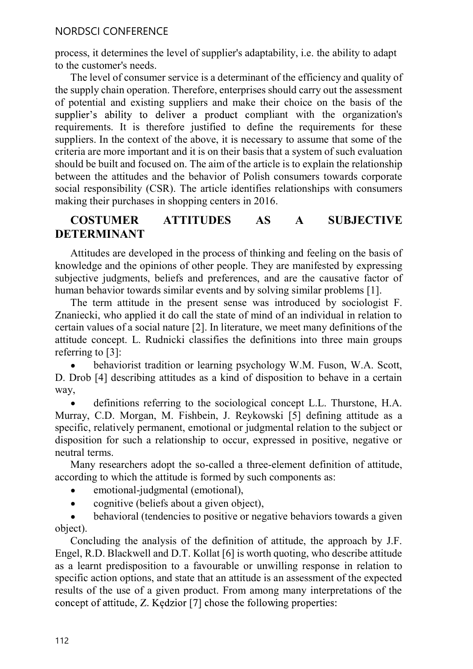process, it determines the level of supplier's adaptability, i.e. the ability to adapt to the customer's needs.

The level of consumer service is a determinant of the efficiency and quality of the supply chain operation. Therefore, enterprises should carry out the assessment of potential and existing suppliers and make their choice on the basis of the supplier's ability to deliver a product compliant with the organization's requirements. It is therefore justified to define the requirements for these suppliers. In the context of the above, it is necessary to assume that some of the criteria are more important and it is on their basis that a system of such evaluation should be built and focused on. The aim of the article is to explain the relationship between the attitudes and the behavior of Polish consumers towards corporate social responsibility (CSR). The article identifies relationships with consumers making their purchases in shopping centers in 2016.

## COSTUMER ATTITUDES AS A SUBJECTIVE DETERMINANT

Attitudes are developed in the process of thinking and feeling on the basis of knowledge and the opinions of other people. They are manifested by expressing subjective judgments, beliefs and preferences, and are the causative factor of human behavior towards similar events and by solving similar problems [1].

The term attitude in the present sense was introduced by sociologist F. Znaniecki, who applied it do call the state of mind of an individual in relation to certain values of a social nature [2]. In literature, we meet many definitions of the attitude concept. L. Rudnicki classifies the definitions into three main groups referring to [3]:

behaviorist tradition or learning psychology W.M. Fuson, W.A. Scott, D. Drob [4] describing attitudes as a kind of disposition to behave in a certain way,

definitions referring to the sociological concept L.L. Thurstone, H.A. Murray, C.D. Morgan, M. Fishbein, J. Reykowski [5] defining attitude as a specific, relatively permanent, emotional or judgmental relation to the subject or disposition for such a relationship to occur, expressed in positive, negative or neutral terms.

Many researchers adopt the so-called a three-element definition of attitude, according to which the attitude is formed by such components as:

- emotional-judgmental (emotional),
- cognitive (beliefs about a given object),  $\bullet$

 $\bullet$ behavioral (tendencies to positive or negative behaviors towards a given object).

Concluding the analysis of the definition of attitude, the approach by J.F. Engel, R.D. Blackwell and D.T. Kollat [6] is worth quoting, who describe attitude as a learnt predisposition to a favourable or unwilling response in relation to specific action options, and state that an attitude is an assessment of the expected results of the use of a given product. From among many interpretations of the concept of attitude, Z. Kedzior [7] chose the following properties: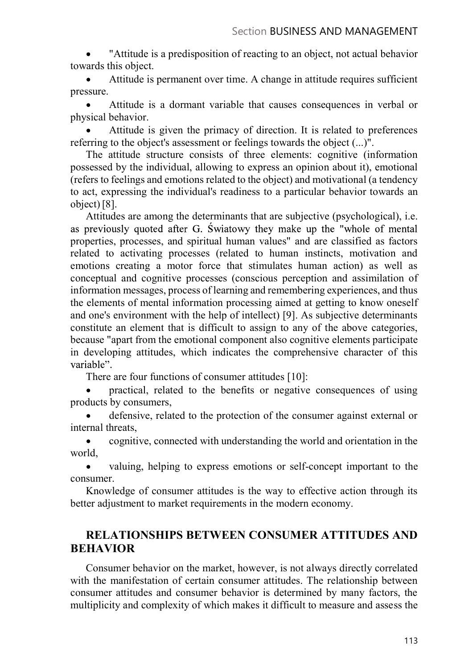"Attitude is a predisposition of reacting to an object, not actual behavior towards this object.

Attitude is permanent over time. A change in attitude requires sufficient pressure.

Attitude is a dormant variable that causes consequences in verbal or physical behavior.

Attitude is given the primacy of direction. It is related to preferences referring to the object's assessment or feelings towards the object (...)".

The attitude structure consists of three elements: cognitive (information possessed by the individual, allowing to express an opinion about it), emotional (refers to feelings and emotions related to the object) and motivational (a tendency to act, expressing the individual's readiness to a particular behavior towards an object) [8].

Attitudes are among the determinants that are subjective (psychological), i.e. as previously quoted after G. Swiatowy they make up the "whole of mental properties, processes, and spiritual human values" and are classified as factors related to activating processes (related to human instincts, motivation and emotions creating a motor force that stimulates human action) as well as conceptual and cognitive processes (conscious perception and assimilation of information messages, process of learning and remembering experiences, and thus the elements of mental information processing aimed at getting to know oneself and one's environment with the help of intellect) [9]. As subjective determinants constitute an element that is difficult to assign to any of the above categories, because "apart from the emotional component also cognitive elements participate in developing attitudes, which indicates the comprehensive character of this variable".

There are four functions of consumer attitudes [10]:

practical, related to the benefits or negative consequences of using products by consumers,

defensive, related to the protection of the consumer against external or internal threats,

cognitive, connected with understanding the world and orientation in the world,

 $\bullet$ valuing, helping to express emotions or self-concept important to the consumer.

Knowledge of consumer attitudes is the way to effective action through its better adjustment to market requirements in the modern economy.

# RELATIONSHIPS BETWEEN CONSUMER ATTITUDES AND BEHAVIOR

Consumer behavior on the market, however, is not always directly correlated with the manifestation of certain consumer attitudes. The relationship between consumer attitudes and consumer behavior is determined by many factors, the multiplicity and complexity of which makes it difficult to measure and assess the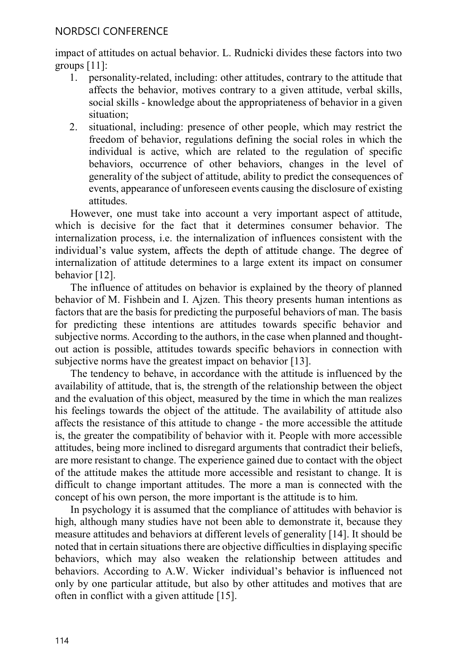impact of attitudes on actual behavior. L. Rudnicki divides these factors into two groups [11]:

- 1. personality-related, including: other attitudes, contrary to the attitude that affects the behavior, motives contrary to a given attitude, verbal skills, social skills - knowledge about the appropriateness of behavior in a given situation;
- 2. situational, including: presence of other people, which may restrict the freedom of behavior, regulations defining the social roles in which the individual is active, which are related to the regulation of specific behaviors, occurrence of other behaviors, changes in the level of generality of the subject of attitude, ability to predict the consequences of events, appearance of unforeseen events causing the disclosure of existing attitudes.

However, one must take into account a very important aspect of attitude, which is decisive for the fact that it determines consumer behavior. The internalization process, i.e. the internalization of influences consistent with the individual's value system, affects the depth of attitude change. The degree of internalization of attitude determines to a large extent its impact on consumer behavior [12].

The influence of attitudes on behavior is explained by the theory of planned behavior of M. Fishbein and I. Ajzen. This theory presents human intentions as factors that are the basis for predicting the purposeful behaviors of man. The basis for predicting these intentions are attitudes towards specific behavior and subjective norms. According to the authors, in the case when planned and thoughtout action is possible, attitudes towards specific behaviors in connection with subjective norms have the greatest impact on behavior [13].

The tendency to behave, in accordance with the attitude is influenced by the availability of attitude, that is, the strength of the relationship between the object and the evaluation of this object, measured by the time in which the man realizes his feelings towards the object of the attitude. The availability of attitude also affects the resistance of this attitude to change - the more accessible the attitude is, the greater the compatibility of behavior with it. People with more accessible attitudes, being more inclined to disregard arguments that contradict their beliefs, are more resistant to change. The experience gained due to contact with the object of the attitude makes the attitude more accessible and resistant to change. It is difficult to change important attitudes. The more a man is connected with the concept of his own person, the more important is the attitude is to him.

In psychology it is assumed that the compliance of attitudes with behavior is high, although many studies have not been able to demonstrate it, because they measure attitudes and behaviors at different levels of generality [14]. It should be noted that in certain situations there are objective difficulties in displaying specific behaviors, which may also weaken the relationship between attitudes and behaviors. According to A.W. Wicker individual's behavior is influenced not only by one particular attitude, but also by other attitudes and motives that are often in conflict with a given attitude [15].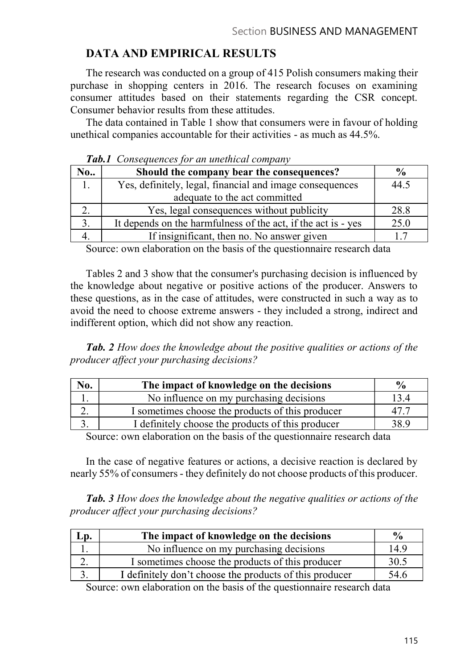# DATA AND EMPIRICAL RESULTS

The research was conducted on a group of 415 Polish consumers making their purchase in shopping centers in 2016. The research focuses on examining consumer attitudes based on their statements regarding the CSR concept. Consumer behavior results from these attitudes.

The data contained in Table 1 show that consumers were in favour of holding unethical companies accountable for their activities - as much as 44.5%.

|     | <b>Tworld Consequences</b> for an anchieval company           |               |
|-----|---------------------------------------------------------------|---------------|
| No. | Should the company bear the consequences?                     | $\frac{0}{0}$ |
| . . | Yes, definitely, legal, financial and image consequences      | 44.5          |
|     | adequate to the act committed                                 |               |
|     | Yes, legal consequences without publicity                     | 28.8          |
|     | It depends on the harmfulness of the act, if the act is - yes | 25.0          |
|     | If insignificant, then no. No answer given                    |               |

Tab. 1. Consequences for an unethical company

Source: own elaboration on the basis of the questionnaire research data

Tables 2 and 3 show that the consumer's purchasing decision is influenced by the knowledge about negative or positive actions of the producer. Answers to these questions, as in the case of attitudes, were constructed in such a way as to avoid the need to choose extreme answers - they included a strong, indirect and indifferent option, which did not show any reaction.

Tab. 2 How does the knowledge about the positive qualities or actions of the producer affect your purchasing decisions?

| No.       | The impact of knowledge on the decisions          | $\frac{6}{9}$ |
|-----------|---------------------------------------------------|---------------|
|           | No influence on my purchasing decisions           | 3.4           |
| <u>L.</u> | I sometimes choose the products of this producer  |               |
|           | I definitely choose the products of this producer | 38.9          |

Source: own elaboration on the basis of the questionnaire research data

In the case of negative features or actions, a decisive reaction is declared by nearly 55% of consumers - they definitely do not choose products of this producer.

Tab. 3 How does the knowledge about the negative qualities or actions of the producer affect your purchasing decisions?

| Lp.       | The impact of knowledge on the decisions                | $\frac{6}{9}$ |
|-----------|---------------------------------------------------------|---------------|
|           | No influence on my purchasing decisions                 | 14.9          |
| <u>L.</u> | I sometimes choose the products of this producer        | 30.5          |
|           | I definitely don't choose the products of this producer | 54.6          |

Source: own elaboration on the basis of the questionnaire research data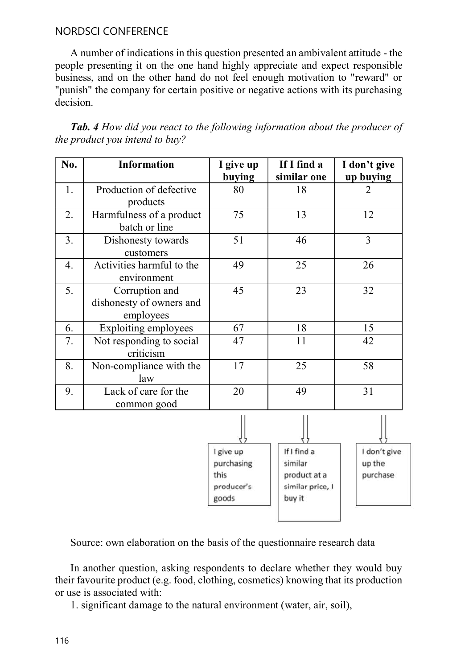#### NORDSCI CONFERENCE

A number of indications in this question presented an ambivalent attitude - the people presenting it on the one hand highly appreciate and expect responsible business, and on the other hand do not feel enough motivation to "reward" or "punish" the company for certain positive or negative actions with its purchasing decision.

| No. | <b>Information</b>                                      | I give up<br>buying | If I find a<br>similar one | I don't give<br>up buying |
|-----|---------------------------------------------------------|---------------------|----------------------------|---------------------------|
| 1.  | Production of defective<br>products                     | 80                  | 18                         | $\overline{2}$            |
| 2.  | Harmfulness of a product<br>batch or line               | 75                  | 13                         | 12                        |
| 3.  | Dishonesty towards<br>customers                         | 51                  | 46                         | $\overline{3}$            |
| 4.  | Activities harmful to the<br>environment                | 49                  | 25                         | 26                        |
| 5.  | Corruption and<br>dishonesty of owners and<br>employees | 45                  | 23                         | 32                        |
| 6.  | Exploiting employees                                    | 67                  | 18                         | 15                        |
| 7.  | Not responding to social<br>criticism                   | 47                  | 11                         | 42                        |
| 8.  | Non-compliance with the<br>law                          | 17                  | 25                         | 58                        |
| 9.  | Lack of care for the<br>common good                     | 20                  | 49                         | 31                        |
|     |                                                         |                     |                            |                           |
|     |                                                         | I give up           | If I find a                | don't give                |

Tab. 4 How did you react to the following information about the producer of the product you intend to buy?

Source: own elaboration on the basis of the questionnaire research data

purchasing

producer's

this

goods

similar

buy it

product at a

similar price, I

up the

purchase

In another question, asking respondents to declare whether they would buy their favourite product (e.g. food, clothing, cosmetics) knowing that its production or use is associated with:

1. significant damage to the natural environment (water, air, soil),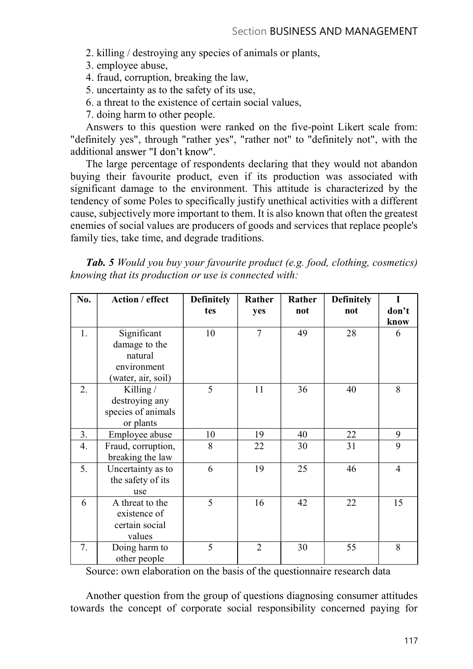- 2. killing / destroying any species of animals or plants,
- 3. employee abuse,
- 4. fraud, corruption, breaking the law,
- 5. uncertainty as to the safety of its use,
- 6. a threat to the existence of certain social values,
- 7. doing harm to other people.

Answers to this question were ranked on the five-point Likert scale from: "definitely yes", through "rather yes", "rather not" to "definitely not", with the additional answer "I don't know".

The large percentage of respondents declaring that they would not abandon buying their favourite product, even if its production was associated with significant damage to the environment. This attitude is characterized by the tendency of some Poles to specifically justify unethical activities with a different cause, subjectively more important to them. It is also known that often the greatest enemies of social values are producers of goods and services that replace people's family ties, take time, and degrade traditions.

| <b>Tab. 5</b> Would you buy your favourite product (e.g. food, clothing, cosmetics) |  |
|-------------------------------------------------------------------------------------|--|
| knowing that its production or use is connected with:                               |  |

| No. | Action / effect    | <b>Definitely</b> | Rather         | Rather | <b>Definitely</b> | I              |
|-----|--------------------|-------------------|----------------|--------|-------------------|----------------|
|     |                    | tes               | yes            | not    | not               | don't          |
|     |                    |                   |                |        |                   | know           |
| 1.  | Significant        | 10                | 7              | 49     | 28                | 6              |
|     | damage to the      |                   |                |        |                   |                |
|     | natural            |                   |                |        |                   |                |
|     | environment        |                   |                |        |                   |                |
|     | (water, air, soil) |                   |                |        |                   |                |
| 2.  | Killing /          | 5                 | 11             | 36     | 40                | 8              |
|     | destroying any     |                   |                |        |                   |                |
|     | species of animals |                   |                |        |                   |                |
|     | or plants          |                   |                |        |                   |                |
| 3.  | Employee abuse     | 10                | 19             | 40     | 22                | 9              |
| 4.  | Fraud, corruption, | 8                 | 22             | 30     | 31                | 9              |
|     | breaking the law   |                   |                |        |                   |                |
| 5.  | Uncertainty as to  | 6                 | 19             | 25     | 46                | $\overline{4}$ |
|     | the safety of its  |                   |                |        |                   |                |
|     | use                |                   |                |        |                   |                |
| 6   | A threat to the    | 5                 | 16             | 42     | 22                | 15             |
|     | existence of       |                   |                |        |                   |                |
|     | certain social     |                   |                |        |                   |                |
|     | values             |                   |                |        |                   |                |
| 7.  | Doing harm to      | 5                 | $\overline{2}$ | 30     | 55                | 8              |
|     | other people       |                   |                |        |                   |                |

Source: own elaboration on the basis of the questionnaire research data

Another question from the group of questions diagnosing consumer attitudes towards the concept of corporate social responsibility concerned paying for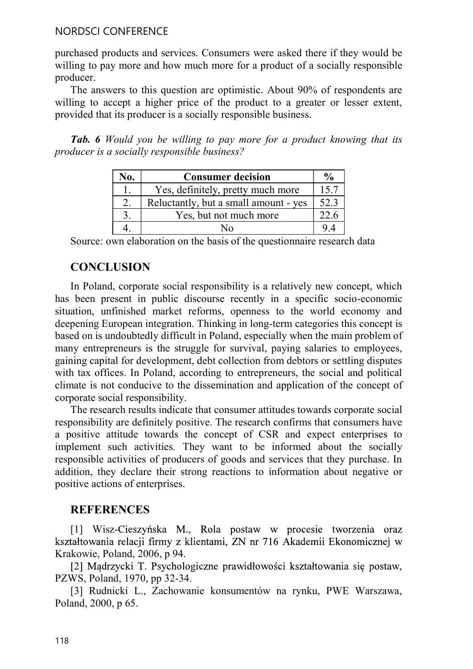#### NORDSCI CONFERENCE

purchased products and services. Consumers were asked there if they would be willing to pay more and how much more for a product of a socially responsible producer.

The answers to this question are optimistic. About 90% of respondents are willing to accept a higher price of the product to a greater or lesser extent, provided that its producer is a socially responsible business.

Tab. 6 Would you be willing to pay more for a product knowing that its producer is a socially responsible business?

| No. | <b>Consumer decision</b>              | $\frac{6}{9}$ |
|-----|---------------------------------------|---------------|
| . . | Yes, definitely, pretty much more     | 15.7          |
| ٠.  | Reluctantly, but a small amount - yes | 52.3          |
|     | Yes, but not much more                | ົ<br>22.0     |
| т.  | No                                    | 9.4           |

Source: own elaboration on the basis of the questionnaire research data

### **CONCLUSION**

In Poland, corporate social responsibility is a relatively new concept, which has been present in public discourse recently in a specific socio-economic situation, unfinished market reforms, openness to the world economy and deepening European integration. Thinking in long-term categories this concept is based on is undoubtedly difficult in Poland, especially when the main problem of many entrepreneurs is the struggle for survival, paying salaries to employees, gaining capital for development, debt collection from debtors or settling disputes with tax offices. In Poland, according to entrepreneurs, the social and political climate is not conducive to the dissemination and application of the concept of corporate social responsibility.

The research results indicate that consumer attitudes towards corporate social responsibility are definitely positive. The research confirms that consumers have a positive attitude towards the concept of CSR and expect enterprises to implement such activities. They want to be informed about the socially responsible activities of producers of goods and services that they purchase. In addition, they declare their strong reactions to information about negative or positive actions of enterprises.

### **REFERENCES**

[1] Wisz-Cieszyńska M., Rola postaw w procesie tworzenia oraz kształtowania relacji firmy z klientami, ZN nr 716 Akademii Ekonomicznej w Krakowie, Poland, 2006, p 94.

[2] Mądrzycki T. Psychologiczne prawidłowości kształtowania się postaw, PZWS, Poland, 1970, pp 32-34.

[3] Rudnicki L., Zachowanie konsumentów na rynku, PWE Warszawa, Poland, 2000, p 65.